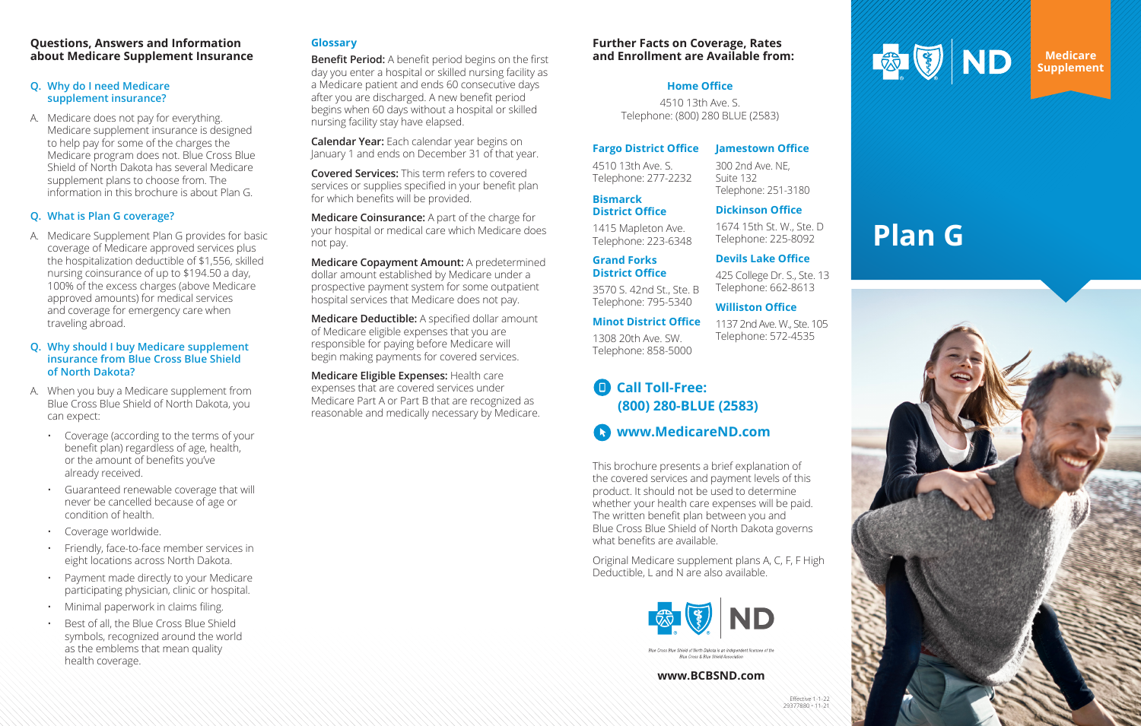

## **Questions, Answers and Information about Medicare Supplement Insurance**

## **Q. Why do I need Medicare supplement insurance?**

A. Medicare does not pay for everything. Medicare supplement insurance is designed to help pay for some of the charges the Medicare program does not. Blue Cross Blue Shield of North Dakota has several Medicare supplement plans to choose from. The information in this brochure is about Plan G.

## **Q. What is Plan G coverage?**

A. Medicare Supplement Plan G provides for basic coverage of Medicare approved services plus the hospitalization deductible of \$1,556, skilled nursing coinsurance of up to \$194.50 a day, 100% of the excess charges (above Medicare approved amounts) for medical services and coverage for emergency care when traveling abroad.

## **Q. Why should I buy Medicare supplement insurance from Blue Cross Blue Shield of North Dakota?**

- A. When you buy a Medicare supplement from Blue Cross Blue Shield of North Dakota, you can expect:
	- Coverage (according to the terms of your benefit plan) regardless of age, health, or the amount of benefits you've already received.
	- Guaranteed renewable coverage that will never be cancelled because of age or condition of health.
	- Coverage worldwide.
	- Friendly, face-to-face member services in eight locations across North Dakota.
	- Payment made directly to your Medicare participating physician, clinic or hospital.
	- Minimal paperwork in claims filing.
	- Best of all, the Blue Cross Blue Shield symbols, recognized around the world as the emblems that mean quality health coverage.

# **Glossary**

**Benefit Period:** A benefit period begins on the first day you enter a hospital or skilled nursing facility as a Medicare patient and ends 60 consecutive days after you are discharged. A new benefit period begins when 60 days without a hospital or skilled nursing facility stay have elapsed.

**Calendar Year:** Each calendar year begins on January 1 and ends on December 31 of that year.

**Covered Services:** This term refers to covered services or supplies specified in your benefit plan for which benefits will be provided.

**Medicare Coinsurance:** A part of the charge for your hospital or medical care which Medicare does not pay.

**Medicare Copayment Amount:** A predetermined dollar amount established by Medicare under a prospective payment system for some outpatient hospital services that Medicare does not pay.

**Medicare Deductible:** A specified dollar amount of Medicare eligible expenses that you are responsible for paying before Medicare will begin making payments for covered services.

**Medicare Eligible Expenses:** Health care expenses that are covered services under Medicare Part A or Part B that are recognized as reasonable and medically necessary by Medicare.

> This brochure presents a brief explanation of the covered services and payment levels of this product. It should not be used to determine whether your health care expenses will be paid. The written benefit plan between you and Blue Cross Blue Shield of North Dakota governs what benefits are available.

Original Medicare supplement plans A, C, F, F High Deductible, L and N are also available.



Blue Cross & Blue Shield Associatio

**Medicare Supplement**

# **Plan G**



#### **www.BCBSND.com**

## **Further Facts on Coverage, Rates and Enrollment are Available from:**

## **Fargo District Office**

4510 13th Ave. S. Telephone: 277-2232

## **Bismarck District Office**

1415 Mapleton Ave. Telephone: 223-6348

**Grand Forks District Office**

3570 S. 42nd St., Ste. B Telephone: 795-5340

**Minot District Office** 1308 20th Ave. SW. Telephone: 858-5000

**Jamestown Office** 300 2nd Ave. NE,

Suite 132

Telephone: 251-3180 **Dickinson Office**

1674 15th St. W., Ste. D

# Telephone: 225-8092 **Devils Lake Office**

425 College Dr. S., Ste. 13 Telephone: 662-8613

## **Williston Office**

## 1137 2nd Ave. W., Ste. 105 Telephone: 572-4535

## **Call Toll-Free:**   $\blacksquare$ **(800) 280-BLUE (2583)**

**www.MedicareND.com**

## **Home Office**

4510 13th Ave. S. Telephone: (800) 280 BLUE (2583)